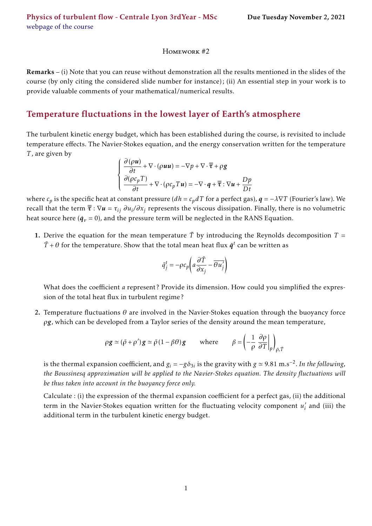## Homework #2

Remarks – (i) Note that you can reuse without demonstration all the results mentioned in the slides of the course (by only citing the considered slide number for instance); (ii) An essential step in your work is to provide valuable comments of your mathematical/numerical results.

## Temperature fluctuations in the lowest layer of Earth's atmosphere

The turbulent kinetic energy budget, which has been established during the course, is revisited to include temperature effects. The Navier-Stokes equation, and the energy conservation written for the temperature *T* , are given by

$$
\begin{cases} \frac{\partial (\rho \boldsymbol{u})}{\partial t} + \nabla \cdot (\rho \boldsymbol{u} \boldsymbol{u}) = -\nabla p + \nabla \cdot \overline{\overline{\tau}} + \rho g \\ \frac{\partial (\rho c_p T)}{\partial t} + \nabla \cdot (\rho c_p T \boldsymbol{u}) = -\nabla \cdot \boldsymbol{q} + \overline{\overline{\tau}} : \nabla \boldsymbol{u} + \frac{Dp}{Dt} \end{cases}
$$

where  $c_p$  is the specific heat at constant pressure ( $dh = c_p dT$  for a perfect gas),  $q = -\lambda \nabla T$  (Fourier's law). We recall that the term  $\overline{\overline{\tau}}:\nabla u=\tau_{ij}\;\partial u_i/\partial x_j$  represents the viscous dissipation. Finally, there is no volumetric heat source here ( $\dot{q}_v$  = 0), and the pressure term will be neglected in the RANS Equation.

1. Derive the equation for the mean temperature  $\overline{T}$  by introducing the Reynolds decomposition  $T =$  $\bar{T}$  +  $\theta$  for the temperature. Show that the total mean heat flux  $\bar{q}^t$  can be written as

$$
\bar{q}_j^t = -\rho c_p \left( a \frac{\partial \bar{T}}{\partial x_j} - \overline{\theta u'_j} \right)
$$

What does the coefficient *a* represent? Provide its dimension. How could you simplified the expression of the total heat flux in turbulent regime ?

2. Temperature fluctuations *θ* are involved in the Navier-Stokes equation through the buoyancy force *ρg*, which can be developed from a Taylor series of the density around the mean temperature,

$$
\rho g \simeq (\bar{\rho} + \rho') g \simeq \bar{\rho} (1 - \beta \theta) g
$$
 where  $\beta = \left(-\frac{1}{\rho} \frac{\partial \rho}{\partial T}\Big|_{p}\right)_{\bar{\rho}, \bar{T}}$ 

is the thermal expansion coefficient, and  $g_i = -g\delta_{3i}$  is the gravity with  $g \simeq 9.81$  m.s<sup>−2</sup>. In the following, *the Boussinesq approximation will be applied to the Navier-Stokes equation. The density fluctuations will be thus taken into account in the buoyancy force only.*

Calculate : (i) the expression of the thermal expansion coefficient for a perfect gas, (ii) the additional term in the Navier-Stokes equation written for the fluctuating velocity component *u* ′  $i$ <sub>i</sub> and (iii) the additional term in the turbulent kinetic energy budget.